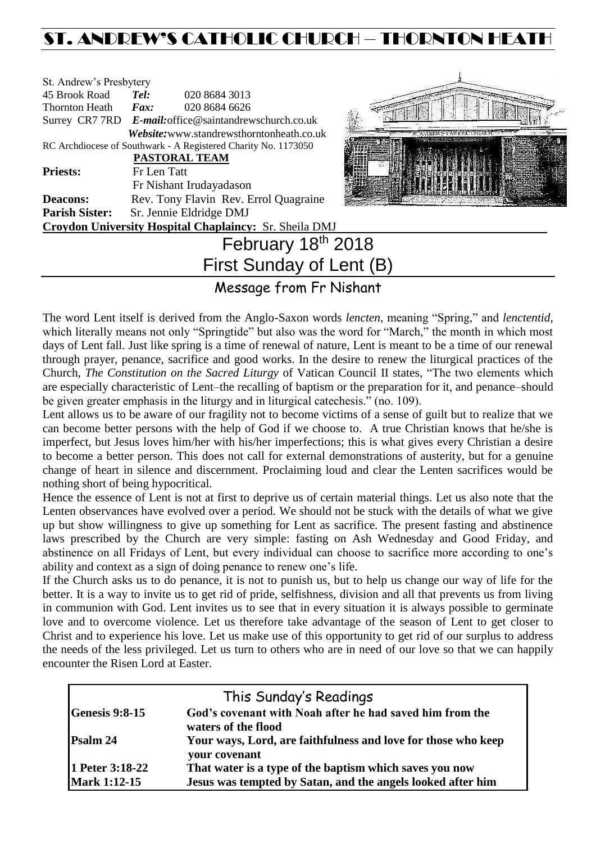# ST. ANDREW'S CATHOLIC CHURCH – THORNTON HEATH

| St. Andrew's Presbytery |                     |                                                                |  |
|-------------------------|---------------------|----------------------------------------------------------------|--|
| 45 Brook Road           | Tel:                | 020 8684 3013                                                  |  |
| <b>Thornton Heath</b>   | $\boldsymbol{Fax:}$ | 020 8684 6626                                                  |  |
|                         |                     | Surrey CR7 7RD E-mail: office@saintandrewschurch.co.uk         |  |
|                         |                     | Website:www.standrewsthorntonheath.co.uk                       |  |
|                         |                     | RC Archdiocese of Southwark - A Registered Charity No. 1173050 |  |
|                         |                     | PASTORAL TEAM                                                  |  |
| <b>Priests:</b>         | Fr Len Tatt         |                                                                |  |
|                         |                     | Fr Nishant Irudayadason                                        |  |
| <b>Deacons:</b>         |                     | Rev. Tony Flavin Rev. Errol Quagraine                          |  |
| <b>Parish Sister:</b>   |                     | Sr. Jennie Eldridge DMJ                                        |  |
|                         |                     | Croydon University Hospital Chaplaincy: Sr. Sheila DMJ         |  |
|                         |                     | $\mathsf{F}_{\mathsf{a}}$ becomes a other only of              |  |



# February 18th 2018 First Sunday of Lent (B)

# Message from Fr Nishant

The word Lent itself is derived from the Anglo-Saxon words *lencten*, meaning "Spring," and *lenctentid*, which literally means not only "Springtide" but also was the word for "March," the month in which most days of Lent fall. Just like spring is a time of renewal of nature, Lent is meant to be a time of our renewal through prayer, penance, sacrifice and good works. In the desire to renew the liturgical practices of the Church, *The Constitution on the Sacred Liturgy* of Vatican Council II states, "The two elements which are especially characteristic of Lent–the recalling of baptism or the preparation for it, and penance–should be given greater emphasis in the liturgy and in liturgical catechesis." (no. 109).

Lent allows us to be aware of our fragility not to become victims of a sense of guilt but to realize that we can become better persons with the help of God if we choose to. A true Christian knows that he/she is imperfect, but Jesus loves him/her with his/her imperfections; this is what gives every Christian a desire to become a better person. This does not call for external demonstrations of austerity, but for a genuine change of heart in silence and discernment. Proclaiming loud and clear the Lenten sacrifices would be nothing short of being hypocritical.

Hence the essence of Lent is not at first to deprive us of certain material things. Let us also note that the Lenten observances have evolved over a period. We should not be stuck with the details of what we give up but show willingness to give up something for Lent as sacrifice. The present fasting and abstinence laws prescribed by the Church are very simple: fasting on Ash Wednesday and Good Friday, and abstinence on all Fridays of Lent, but every individual can choose to sacrifice more according to one's ability and context as a sign of doing penance to renew one's life.

If the Church asks us to do penance, it is not to punish us, but to help us change our way of life for the better. It is a way to invite us to get rid of pride, selfishness, division and all that prevents us from living in communion with God. Lent invites us to see that in every situation it is always possible to germinate love and to overcome violence. Let us therefore take advantage of the season of Lent to get closer to Christ and to experience his love. Let us make use of this opportunity to get rid of our surplus to address the needs of the less privileged. Let us turn to others who are in need of our love so that we can happily encounter the Risen Lord at Easter.

|                       | This Sunday's Readings                                                          |
|-----------------------|---------------------------------------------------------------------------------|
| <b>Genesis 9:8-15</b> | God's covenant with Noah after he had saved him from the<br>waters of the flood |
| Psalm 24              | Your ways, Lord, are faithfulness and love for those who keep<br>your covenant  |
| 1 Peter 3:18-22       | That water is a type of the baptism which saves you now                         |
| <b>Mark 1:12-15</b>   | Jesus was tempted by Satan, and the angels looked after him                     |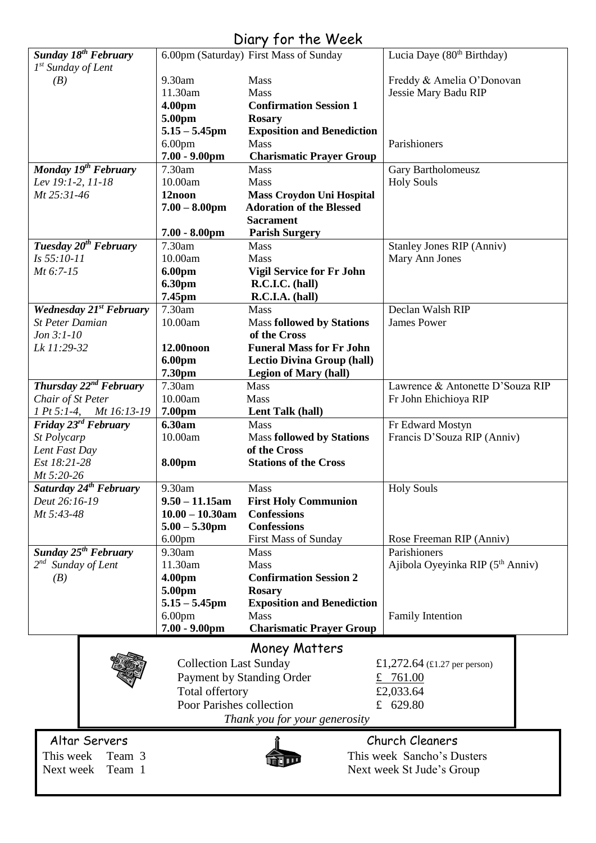# Diary for the Week

| <b>Sunday 18th February</b>        |                               | 6.00pm (Saturday) First Mass of Sunday | Lucia Daye (80 <sup>th</sup> Birthday) |
|------------------------------------|-------------------------------|----------------------------------------|----------------------------------------|
| $1st$ Sunday of Lent               |                               |                                        |                                        |
| (B)                                | 9.30am                        | Mass                                   | Freddy & Amelia O'Donovan              |
|                                    | 11.30am                       | Mass                                   | Jessie Mary Badu RIP                   |
|                                    | 4.00pm                        | <b>Confirmation Session 1</b>          |                                        |
|                                    |                               |                                        |                                        |
|                                    | 5.00pm                        | <b>Rosary</b>                          |                                        |
|                                    | $5.15 - 5.45$ pm              | <b>Exposition and Benediction</b>      |                                        |
|                                    | 6.00 <sub>pm</sub>            | Mass                                   | Parishioners                           |
|                                    | $7.00 - 9.00$ pm              | <b>Charismatic Prayer Group</b>        |                                        |
| Monday 19 <sup>th</sup> February   | 7.30am                        | Mass                                   | Gary Bartholomeusz                     |
| Lev 19:1-2, 11-18                  | 10.00am                       | Mass                                   | <b>Holy Souls</b>                      |
| Mt 25:31-46                        | 12noon                        | <b>Mass Croydon Uni Hospital</b>       |                                        |
|                                    | $7.00 - 8.00$ pm              | <b>Adoration of the Blessed</b>        |                                        |
|                                    |                               | <b>Sacrament</b>                       |                                        |
|                                    | $7.00 - 8.00$ pm              | <b>Parish Surgery</b>                  |                                        |
| Tuesday 20 <sup>th</sup> February  | 7.30am                        | <b>Mass</b>                            | <b>Stanley Jones RIP (Anniv)</b>       |
| Is 55:10-11                        | 10.00am                       | Mass                                   | Mary Ann Jones                         |
| Mt 6:7-15                          | 6.00pm                        | <b>Vigil Service for Fr John</b>       |                                        |
|                                    | 6.30pm                        | R.C.I.C. (hall)                        |                                        |
|                                    | 7.45pm                        | R.C.I.A. (hall)                        |                                        |
| <b>Wednesday 21st February</b>     | 7.30am                        | Mass                                   | Declan Walsh RIP                       |
| <b>St Peter Damian</b>             | 10.00am                       | <b>Mass followed by Stations</b>       | <b>James Power</b>                     |
| $Jon 3:1-10$                       |                               | of the Cross                           |                                        |
| Lk 11:29-32                        | 12.00 <sub>noon</sub>         | <b>Funeral Mass for Fr John</b>        |                                        |
|                                    |                               |                                        |                                        |
|                                    | 6.00pm                        | <b>Lectio Divina Group (hall)</b>      |                                        |
|                                    | 7.30pm                        | <b>Legion of Mary (hall)</b>           |                                        |
| Thursday $22^{nd}$ February        | 7.30am                        | <b>Mass</b>                            | Lawrence & Antonette D'Souza RIP       |
| Chair of St Peter                  | 10.00am                       | Mass                                   | Fr John Ehichioya RIP                  |
| 1 Pt 5:1-4, Mt 16:13-19            | 7.00pm                        | Lent Talk (hall)                       |                                        |
| Friday 23 <sup>rd</sup> February   | 6.30am                        | Mass                                   | Fr Edward Mostyn                       |
| St Polycarp                        | 10.00am                       | <b>Mass followed by Stations</b>       | Francis D'Souza RIP (Anniv)            |
| Lent Fast Day                      |                               | of the Cross                           |                                        |
| Est 18:21-28                       | 8.00pm                        | <b>Stations of the Cross</b>           |                                        |
| Mt 5:20-26                         |                               |                                        |                                        |
| Saturday 24 <sup>th</sup> February | 9.30am                        | <b>Mass</b>                            | <b>Holy Souls</b>                      |
| Deut 26:16-19                      | $9.50 - 11.15$ am             | <b>First Holy Communion</b>            |                                        |
| Mt 5:43-48                         | $10.00 - 10.30$ am            | <b>Confessions</b>                     |                                        |
|                                    | $5.00 - 5.30$ pm              | <b>Confessions</b>                     |                                        |
|                                    | 6.00 <sub>pm</sub>            | <b>First Mass of Sunday</b>            | Rose Freeman RIP (Anniv)               |
| Sunday 25 <sup>th</sup> February   | 9.30am                        | <b>Mass</b>                            | Parishioners                           |
| $2^{nd}$ Sunday of Lent            | 11.30am                       | <b>Mass</b>                            | Ajibola Oyeyinka RIP (5th Anniv)       |
| (B)                                | 4.00pm                        | <b>Confirmation Session 2</b>          |                                        |
|                                    | 5.00pm                        | <b>Rosary</b>                          |                                        |
|                                    | $5.15 - 5.45$ pm              | <b>Exposition and Benediction</b>      |                                        |
|                                    | 6.00 <sub>pm</sub>            | <b>Mass</b>                            | <b>Family Intention</b>                |
|                                    | $7.00 - 9.00$ pm              | <b>Charismatic Prayer Group</b>        |                                        |
|                                    |                               |                                        |                                        |
|                                    |                               | <b>Money Matters</b>                   |                                        |
|                                    | <b>Collection Last Sunday</b> |                                        | £1,272.64 (£1.27 per person)           |
|                                    | Payment by Standing Order     |                                        | £ $761.00$                             |
|                                    | Total offertory               |                                        | £2,033.64                              |
|                                    |                               |                                        |                                        |
|                                    | Poor Parishes collection      |                                        | £ 629.80                               |
|                                    |                               | Thank you for your generosity          |                                        |
| Altar Servers                      |                               |                                        | Church Cleaners                        |
|                                    |                               |                                        |                                        |
| This week<br>Team 3                |                               |                                        | This week Sancho's Dusters             |
| Team 1<br>Next week                | Next week St Jude's Group     |                                        |                                        |
|                                    |                               |                                        |                                        |
|                                    |                               |                                        |                                        |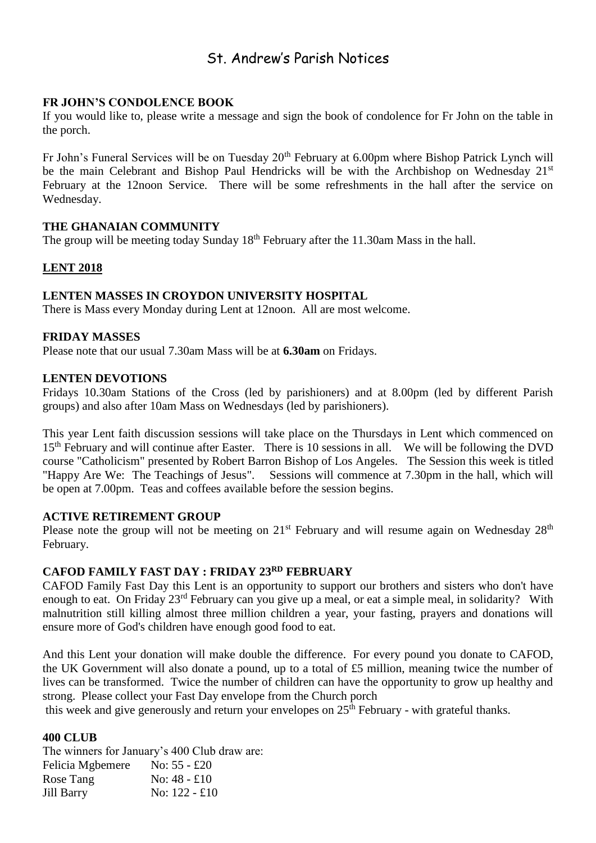# St. Andrew's Parish Notices

## **FR JOHN'S CONDOLENCE BOOK**

If you would like to, please write a message and sign the book of condolence for Fr John on the table in the porch.

Fr John's Funeral Services will be on Tuesday 20<sup>th</sup> February at 6.00pm where Bishop Patrick Lynch will be the main Celebrant and Bishop Paul Hendricks will be with the Archbishop on Wednesday 21<sup>st</sup> February at the 12noon Service. There will be some refreshments in the hall after the service on Wednesday.

## **THE GHANAIAN COMMUNITY**

The group will be meeting today Sunday  $18<sup>th</sup>$  February after the 11.30am Mass in the hall.

# **LENT 2018**

## **LENTEN MASSES IN CROYDON UNIVERSITY HOSPITAL**

There is Mass every Monday during Lent at 12noon. All are most welcome.

#### **FRIDAY MASSES**

Please note that our usual 7.30am Mass will be at **6.30am** on Fridays.

#### **LENTEN DEVOTIONS**

Fridays 10.30am Stations of the Cross (led by parishioners) and at 8.00pm (led by different Parish groups) and also after 10am Mass on Wednesdays (led by parishioners).

This year Lent faith discussion sessions will take place on the Thursdays in Lent which commenced on 15<sup>th</sup> February and will continue after Easter. There is 10 sessions in all. We will be following the DVD course "Catholicism" presented by Robert Barron Bishop of Los Angeles. The Session this week is titled "Happy Are We: The Teachings of Jesus". Sessions will commence at 7.30pm in the hall, which will be open at 7.00pm. Teas and coffees available before the session begins.

#### **ACTIVE RETIREMENT GROUP**

Please note the group will not be meeting on  $21^{st}$  February and will resume again on Wednesday  $28^{th}$ February.

## **CAFOD FAMILY FAST DAY : FRIDAY 23RD FEBRUARY**

CAFOD Family Fast Day this Lent is an opportunity to support our brothers and sisters who don't have enough to eat. On Friday 23rd February can you give up a meal, or eat a simple meal, in solidarity? With malnutrition still killing almost three million children a year, your fasting, prayers and donations will ensure more of God's children have enough good food to eat.

And this Lent your donation will make double the difference. For every pound you donate to CAFOD, the UK Government will also donate a pound, up to a total of £5 million, meaning twice the number of lives can be transformed. Twice the number of children can have the opportunity to grow up healthy and strong. Please collect your Fast Day envelope from the Church porch

this week and give generously and return your envelopes on  $25<sup>th</sup>$  February - with grateful thanks.

#### **400 CLUB**

The winners for January's 400 Club draw are: Felicia Mgbemere No: 55 - £20 Rose Tang  $\qquad \qquad$  No: 48 - £10 Jill Barry No: 122 - £10